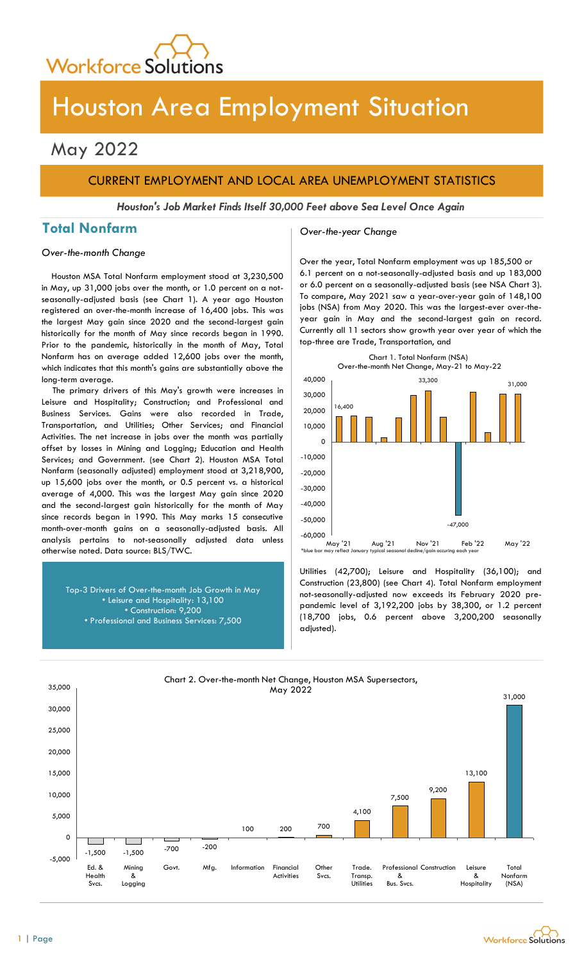

# Houston Area Employment Situation

## May 2022

## CURRENT EMPLOYMENT AND LOCAL AREA UNEMPLOYMENT STATISTICS

Houston's Job Market Finds Itself 30,000 Feet above Sea Level Once Again

## Total Nonfarm and Cover-the-year Change

### Over-the-month Change

Houston MSA Total Nonfarm employment stood at 3,230,500 in May, up 31,000 jobs over the month, or 1.0 percent on a notseasonally-adjusted basis (see Chart 1). A year ago Houston registered an over-the-month increase of 16,400 jobs. This was the largest May gain since 2020 and the second-largest gain historically for the month of May since records began in 1990. Prior to the pandemic, historically in the month of May, Total Nonfarm has on average added 12,600 jobs over the month, which indicates that this month's gains are substantially above the long-term average.

The primary drivers of this May's growth were increases in Leisure and Hospitality; Construction; and Professional and Business Services. Gains were also recorded in Trade, Transportation, and Utilities; Other Services; and Financial Activities. The net increase in jobs over the month was partially offset by losses in Mining and Logging; Education and Health Services; and Government. (see Chart 2). Houston MSA Total Nonfarm (seasonally adjusted) employment stood at 3,218,900, up 15,600 jobs over the month, or 0.5 percent vs. a historical average of 4,000. This was the largest May gain since 2020 and the second-largest gain historically for the month of May since records began in 1990. This May marks 15 consecutive month-over-month gains on a seasonally-adjusted basis. All analysis pertains to not-seasonally adjusted data unless otherwise noted. Data source: BLS/TWC.

> Top-3 Drivers of Over-the-month Job Growth in May • Leisure and Hospitality: 13,100 • Construction: 9,200 • Professional and Business Services: 7,500

Over the year, Total Nonfarm employment was up 185,500 or 6.1 percent on a not-seasonally-adjusted basis and up 183,000 or 6.0 percent on a seasonally-adjusted basis (see NSA Chart 3). To compare, May 2021 saw a year-over-year gain of 148,100 jobs (NSA) from May 2020. This was the largest-ever over-theyear gain in May and the second-largest gain on record. Currently all 11 sectors show growth year over year of which the top-three are Trade, Transportation, and



Utilities (42,700); Leisure and Hospitality (36,100); and Construction (23,800) (see Chart 4). Total Nonfarm employment not-seasonally-adjusted now exceeds its February 2020 prepandemic level of 3,192,200 jobs by 38,300, or 1.2 percent (18,700 jobs, 0.6 percent above 3,200,200 seasonally adjusted).



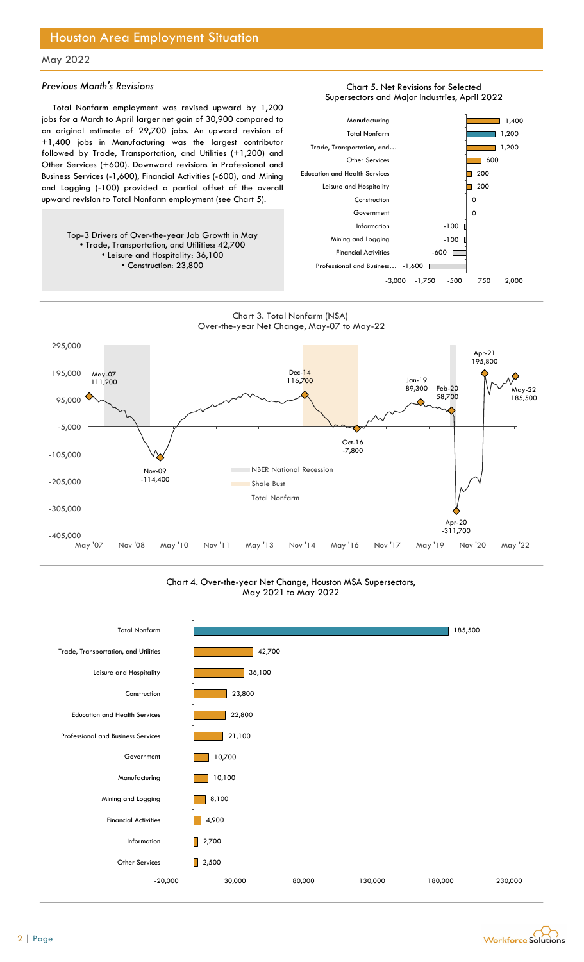## Houston Area Employment Situation

### May 2022

#### Previous Month's Revisions

Total Nonfarm employment was revised upward by 1,200 jobs for a March to April larger net gain of 30,900 compared to an original estimate of 29,700 jobs. An upward revision of +1,400 jobs in Manufacturing was the largest contributor followed by Trade, Transportation, and Utilities (+1,200) and Other Services (+600). Downward revisions in Professional and Business Services (-1,600), Financial Activities (-600), and Mining and Logging (-100) provided a partial offset of the overall upward revision to Total Nonfarm employment (see Chart 5).

> Top-3 Drivers of Over-the-year Job Growth in May • Trade, Transportation, and Utilities: 42,700 • Leisure and Hospitality: 36,100 • Construction: 23,800



Chart 5. Net Revisions for Selected







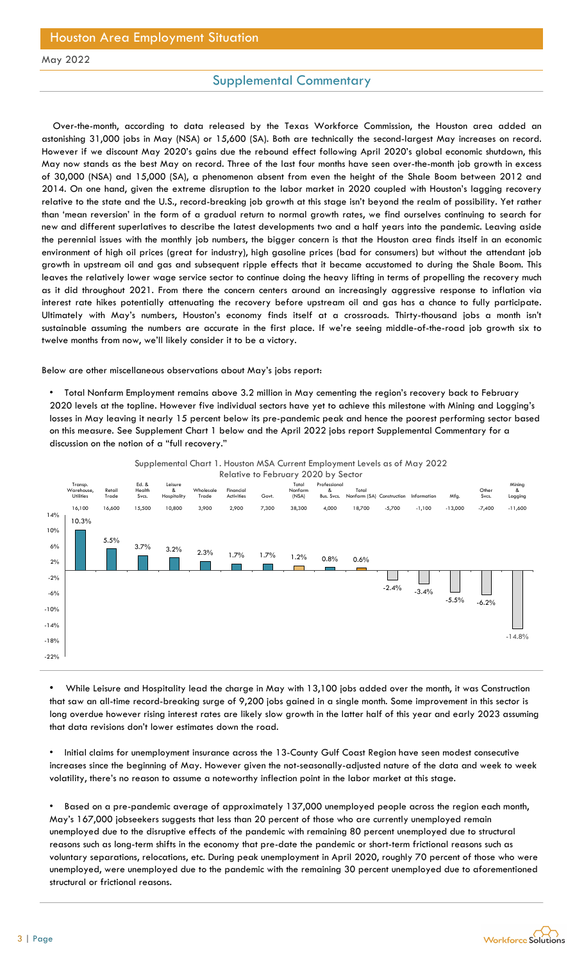## Houston Area Employment Situation

### May 2022

### Supplemental Commentary

Over-the-month, according to data released by the Texas Workforce Commission, the Houston area added an astonishing 31,000 jobs in May (NSA) or 15,600 (SA). Both are technically the second-largest May increases on record. However if we discount May 2020's gains due the rebound effect following April 2020's global economic shutdown, this May now stands as the best May on record. Three of the last four months have seen over-the-month job growth in excess of 30,000 (NSA) and 15,000 (SA), a phenomenon absent from even the height of the Shale Boom between 2012 and 2014. On one hand, given the extreme disruption to the labor market in 2020 coupled with Houston's lagging recovery relative to the state and the U.S., record-breaking job growth at this stage isn't beyond the realm of possibility. Yet rather than 'mean reversion' in the form of a gradual return to normal growth rates, we find ourselves continuing to search for new and different superlatives to describe the latest developments two and a half years into the pandemic. Leaving aside the perennial issues with the monthly job numbers, the bigger concern is that the Houston area finds itself in an economic environment of high oil prices (great for industry), high gasoline prices (bad for consumers) but without the attendant job growth in upstream oil and gas and subsequent ripple effects that it became accustomed to during the Shale Boom. This leaves the relatively lower wage service sector to continue doing the heavy lifting in terms of propelling the recovery much as it did throughout 2021. From there the concern centers around an increasingly aggressive response to inflation via interest rate hikes potentially attenuating the recovery before upstream oil and gas has a chance to fully participate. Ultimately with May's numbers, Houston's economy finds itself at a crossroads. Thirty-thousand jobs a month isn't sustainable assuming the numbers are accurate in the first place. If we're seeing middle-of-the-road job growth six to twelve months from now, we'll likely consider it to be a victory.

Below are other miscellaneous observations about May's jobs report:

• Total Nonfarm Employment remains above 3.2 million in May cementing the region's recovery back to February 2020 levels at the topline. However five individual sectors have yet to achieve this milestone with Mining and Logging's losses in May leaving it nearly 15 percent below its pre-pandemic peak and hence the poorest performing sector based on this measure. See Supplement Chart 1 below and the April 2022 jobs report Supplemental Commentary for a discussion on the notion of a "full recovery."



Supplemental Chart 1. Houston MSA Current Employment Levels as of May 2022 Relative to February 2020 by Sector

• While Leisure and Hospitality lead the charge in May with 13,100 jobs added over the month, it was Construction that saw an all-time record-breaking surge of 9,200 jobs gained in a single month. Some improvement in this sector is long overdue however rising interest rates are likely slow growth in the latter half of this year and early 2023 assuming that data revisions don't lower estimates down the road.

• Initial claims for unemployment insurance across the 13-County Gulf Coast Region have seen modest consecutive increases since the beginning of May. However given the not-seasonally-adjusted nature of the data and week to week volatility, there's no reason to assume a noteworthy inflection point in the labor market at this stage.

• Based on a pre-pandemic average of approximately 137,000 unemployed people across the region each month, May's 167,000 jobseekers suggests that less than 20 percent of those who are currently unemployed remain unemployed due to the disruptive effects of the pandemic with remaining 80 percent unemployed due to structural reasons such as long-term shifts in the economy that pre-date the pandemic or short-term frictional reasons such as voluntary separations, relocations, etc. During peak unemployment in April 2020, roughly 70 percent of those who were unemployed, were unemployed due to the pandemic with the remaining 30 percent unemployed due to aforementioned structural or frictional reasons.

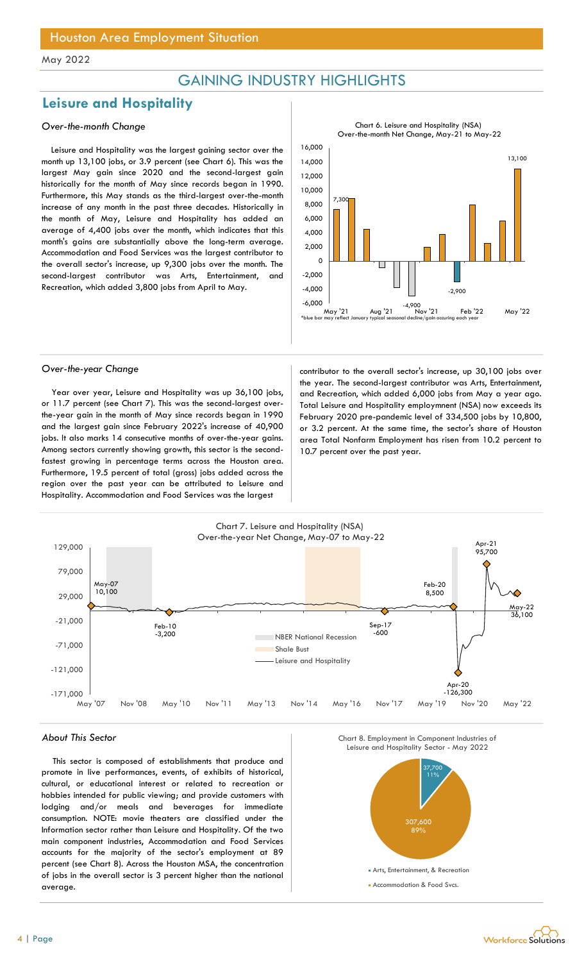## GAINING INDUSTRY HIGHLIGHTS

## Leisure and Hospitality

#### Over-the-month Change

Leisure and Hospitality was the largest gaining sector over the month up 13,100 jobs, or 3.9 percent (see Chart 6). This was the largest May gain since 2020 and the second-largest gain historically for the month of May since records began in 1990. Furthermore, this May stands as the third-largest over-the-month increase of any month in the past three decades. Historically in the month of May, Leisure and Hospitality has added an average of 4,400 jobs over the month, which indicates that this month's gains are substantially above the long-term average. Accommodation and Food Services was the largest contributor to the overall sector's increase, up 9,300 jobs over the month. The second-largest contributor was Arts, Entertainment, Recreation, which added 3,800 jobs from April to May.



Chart 6. Leisure and Hospitality (NSA)

Year over year, Leisure and Hospitality was up 36,100 jobs, or 11.7 percent (see Chart 7). This was the second-largest overthe-year gain in the month of May since records began in 1990 and the largest gain since February 2022's increase of 40,900 jobs. It also marks 14 consecutive months of over-the-year gains. Among sectors currently showing growth, this sector is the secondfastest growing in percentage terms across the Houston area. Furthermore, 19.5 percent of total (gross) jobs added across the region over the past year can be attributed to Leisure and Hospitality. Accommodation and Food Services was the largest

Over-the-year Change and Contributor to the overall sector's increase, up 30,100 jobs over the year. The second-largest contributor was Arts, Entertainment, and Recreation, which added 6,000 jobs from May a year ago. Total Leisure and Hospitality employmnent (NSA) now exceeds its February 2020 pre-pandemic level of 334,500 jobs by 10,800, or 3.2 percent. At the same time, the sector's share of Houston area Total Nonfarm Employment has risen from 10.2 percent to 10.7 percent over the past year.



#### About This Sector

This sector is composed of establishments that produce and promote in live performances, events, of exhibits of historical, cultural, or educational interest or related to recreation or hobbies intended for public viewing; and provide customers with lodging and/or meals and beverages for immediate consumption. NOTE: movie theaters are classified under the Information sector rather than Leisure and Hospitality. Of the two main component industries, Accommodation and Food Services accounts for the majority of the sector's employment at 89 percent (see Chart 8). Across the Houston MSA, the concentration of jobs in the overall sector is 3 percent higher than the national average.



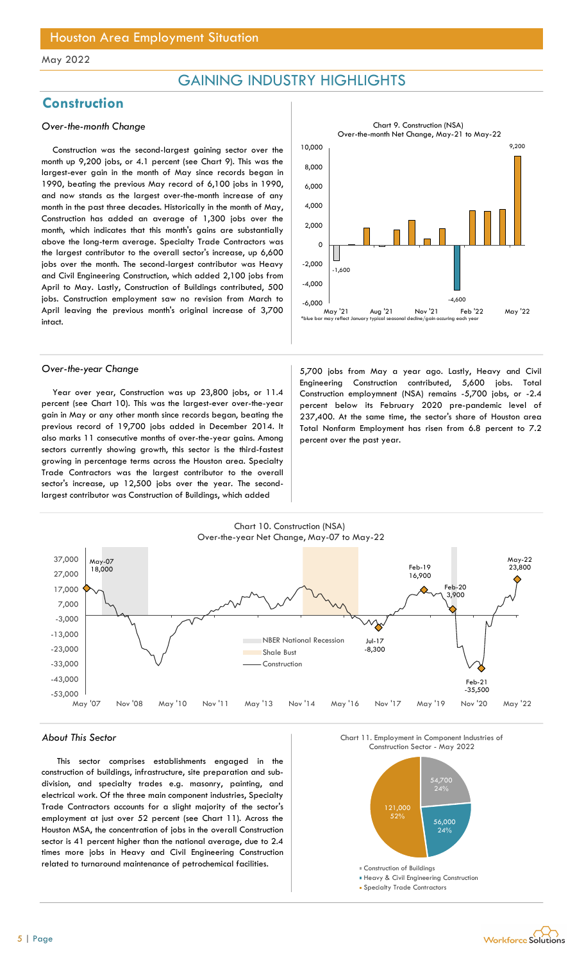## GAINING INDUSTRY HIGHLIGHTS

## **Construction**

#### Over-the-month Change

Construction was the second-largest gaining sector over the month up 9,200 jobs, or 4.1 percent (see Chart 9). This was the largest-ever gain in the month of May since records began in 1990, beating the previous May record of 6,100 jobs in 1990, and now stands as the largest over-the-month increase of any month in the past three decades. Historically in the month of May, Construction has added an average of 1,300 jobs over the month, which indicates that this month's gains are substantially above the long-term average. Specialty Trade Contractors was the largest contributor to the overall sector's increase, up 6,600 jobs over the month. The second-largest contributor was Heavy and Civil Engineering Construction, which added 2,100 jobs from April to May. Lastly, Construction of Buildings contributed, 500 jobs. Construction employment saw no revision from March to April leaving the previous month's original increase of 3,700 intact.



Year over year, Construction was up 23,800 jobs, or 11.4 percent (see Chart 10). This was the largest-ever over-the-year gain in May or any other month since records began, beating the previous record of 19,700 jobs added in December 2014. It also marks 11 consecutive months of over-the-year gains. Among sectors currently showing growth, this sector is the third-fastest growing in percentage terms across the Houston area. Specialty Trade Contractors was the largest contributor to the overall sector's increase, up 12,500 jobs over the year. The secondlargest contributor was Construction of Buildings, which added

Over-the-year Change and States and States and States of the 5,700 jobs from May a year ago. Lastly, Heavy and Civil Engineering Construction contributed, 5,600 jobs. Total Construction employmnent (NSA) remains -5,700 jobs, or -2.4 percent below its February 2020 pre-pandemic level of 237,400. At the same time, the sector's share of Houston area Total Nonfarm Employment has risen from 6.8 percent to 7.2 percent over the past year.



#### About This Sector

This sector comprises establishments engaged in the construction of buildings, infrastructure, site preparation and subdivision, and specialty trades e.g. masonry, painting, and electrical work. Of the three main component industries, Specialty Trade Contractors accounts for a slight majority of the sector's employment at just over 52 percent (see Chart 11). Across the Houston MSA, the concentration of jobs in the overall Construction sector is 41 percent higher than the national average, due to 2.4 times more jobs in Heavy and Civil Engineering Construction related to turnaround maintenance of petrochemical facilities.

Chart 11. Employment in Component Industries of



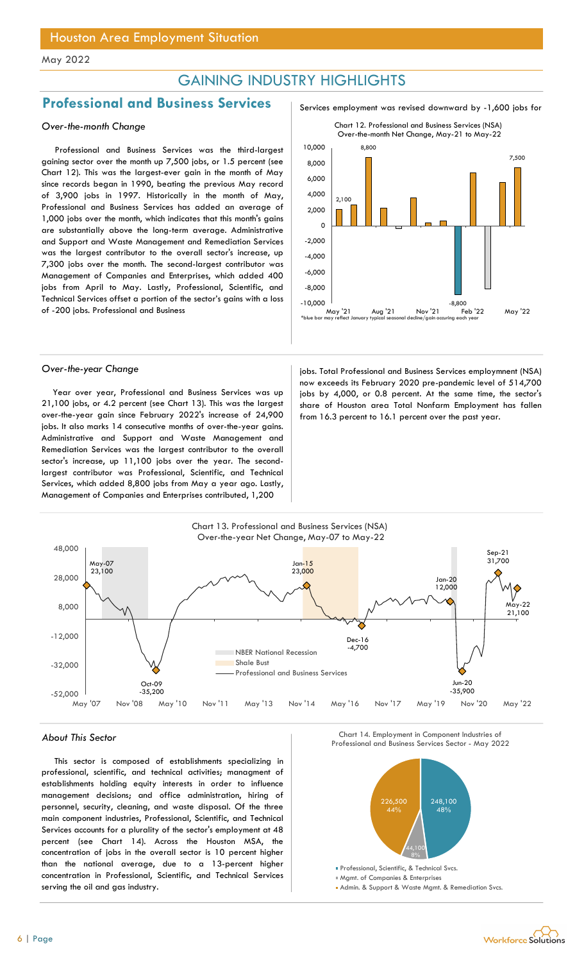## GAINING INDUSTRY HIGHLIGHTS

## Professional and Business Services Services Services employment was revised downward by -1,600 jobs for

Professional and Business Services was the third-largest gaining sector over the month up 7,500 jobs, or 1.5 percent (see Chart 12). This was the largest-ever gain in the month of May since records began in 1990, beating the previous May record of 3,900 jobs in 1997. Historically in the month of May, Professional and Business Services has added an average of 1,000 jobs over the month, which indicates that this month's gains are substantially above the long-term average. Administrative and Support and Waste Management and Remediation Services was the largest contributor to the overall sector's increase, up 7,300 jobs over the month. The second-largest contributor was Management of Companies and Enterprises, which added 400 jobs from April to May. Lastly, Professional, Scientific, and Technical Services offset a portion of the sector's gains with a loss of -200 jobs. Professional and Business

Year over year, Professional and Business Services was up 21,100 jobs, or 4.2 percent (see Chart 13). This was the largest over-the-year gain since February 2022's increase of 24,900 jobs. It also marks 14 consecutive months of over-the-year gains. Administrative and Support and Waste Management and Remediation Services was the largest contributor to the overall sector's increase, up 11,100 jobs over the year. The secondlargest contributor was Professional, Scientific, and Technical Services, which added 8,800 jobs from May a year ago. Lastly, Management of Companies and Enterprises contributed, 1,200



Over-the-year Change is a state of the services employment (NSA) is a state of the services employmnent (NSA) now exceeds its February 2020 pre-pandemic level of 514,700 jobs by 4,000, or 0.8 percent. At the same time, the sector's share of Houston area Total Nonfarm Employment has fallen from 16.3 percent to 16.1 percent over the past year.



This sector is composed of establishments specializing in professional, scientific, and technical activities; managment of establishments holding equity interests in order to influence management decisions; and office administration, hiring of personnel, security, cleaning, and waste disposal. Of the three main component industries, Professional, Scientific, and Technical Services accounts for a plurality of the sector's employment at 48 percent (see Chart 14). Across the Houston MSA, the concentration of jobs in the overall sector is 10 percent higher than the national average, due to a 13-percent higher concentration in Professional, Scientific, and Technical Services serving the oil and gas industry.

About This Sector Chart II (Chart 14. Employment in Component Industries of Chart II (Chart 14. Employment in Component Industries of Chart II (Chart II (Chart II (Chart II (Chart II (Chart II (Chart II (Chart II (Chart II Chart 14. Employment in Component Industries of



**Mgmt. of Companies & Enterprise** 

Admin. & Support & Waste Mgmt. & Remediation Svcs.

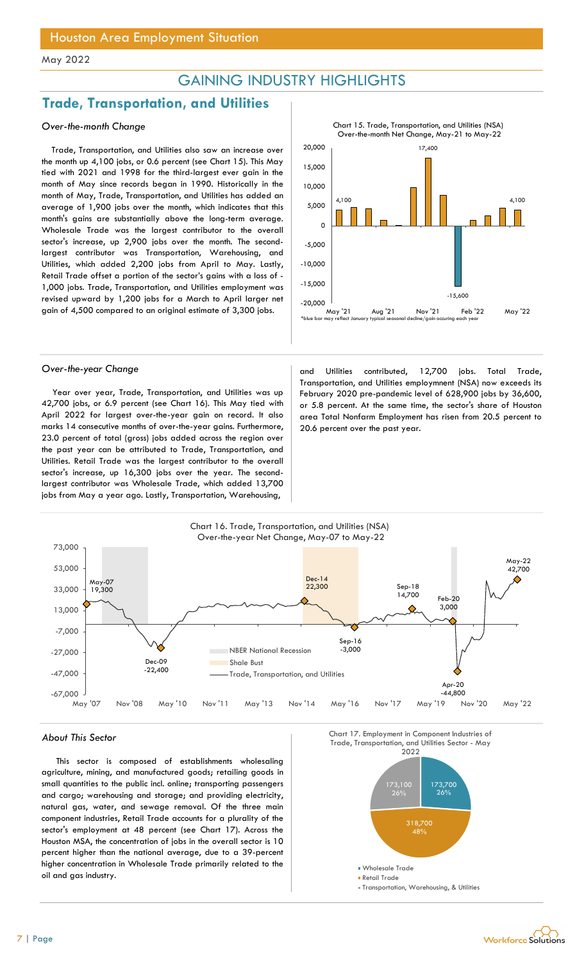## GAINING INDUSTRY HIGHLIGHTS

## Trade, Transportation, and Utilities

#### Over-the-month Change

Trade, Transportation, and Utilities also saw an increase over the month up 4,100 jobs, or 0.6 percent (see Chart 15). This May tied with 2021 and 1998 for the third-largest ever gain in the month of May since records began in 1990. Historically in the month of May, Trade, Transportation, and Utilities has added an average of 1,900 jobs over the month, which indicates that this month's gains are substantially above the long-term average. Wholesale Trade was the largest contributor to the overall sector's increase, up 2,900 jobs over the month. The secondlargest contributor was Transportation, Warehousing, and Utilities, which added 2,200 jobs from April to May. Lastly, Retail Trade offset a portion of the sector's gains with a loss of - 1,000 jobs. Trade, Transportation, and Utilities employment was revised upward by 1,200 jobs for a March to April larger net gain of 4,500 compared to an original estimate of 3,300 jobs.



Year over year, Trade, Transportation, and Utilities was up 42,700 jobs, or 6.9 percent (see Chart 16). This May tied with April 2022 for largest over-the-year gain on record. It also marks 14 consecutive months of over-the-year gains. Furthermore, 23.0 percent of total (gross) jobs added across the region over the past year can be attributed to Trade, Transportation, and Utilities. Retail Trade was the largest contributor to the overall sector's increase, up 16,300 jobs over the year. The secondlargest contributor was Wholesale Trade, which added 13,700 jobs from May a year ago. Lastly, Transportation, Warehousing,

Over-the-year Change and Utilities contributed, 12,700 jobs. Total Trade, Transportation, and Utilities employmnent (NSA) now exceeds its February 2020 pre-pandemic level of 628,900 jobs by 36,600, or 5.8 percent. At the same time, the sector's share of Houston area Total Nonfarm Employment has risen from 20.5 percent to 20.6 percent over the past year.



This sector is composed of establishments wholesaling agriculture, mining, and manufactured goods; retailing goods in small quantities to the public incl. online; transporting passengers and cargo; warehousing and storage; and providing electricity, natural gas, water, and sewage removal. Of the three main component industries, Retail Trade accounts for a plurality of the sector's employment at 48 percent (see Chart 17). Across the Houston MSA, the concentration of jobs in the overall sector is 10 percent higher than the national average, due to a 39-percent higher concentration in Wholesale Trade primarily related to the oil and gas industry.



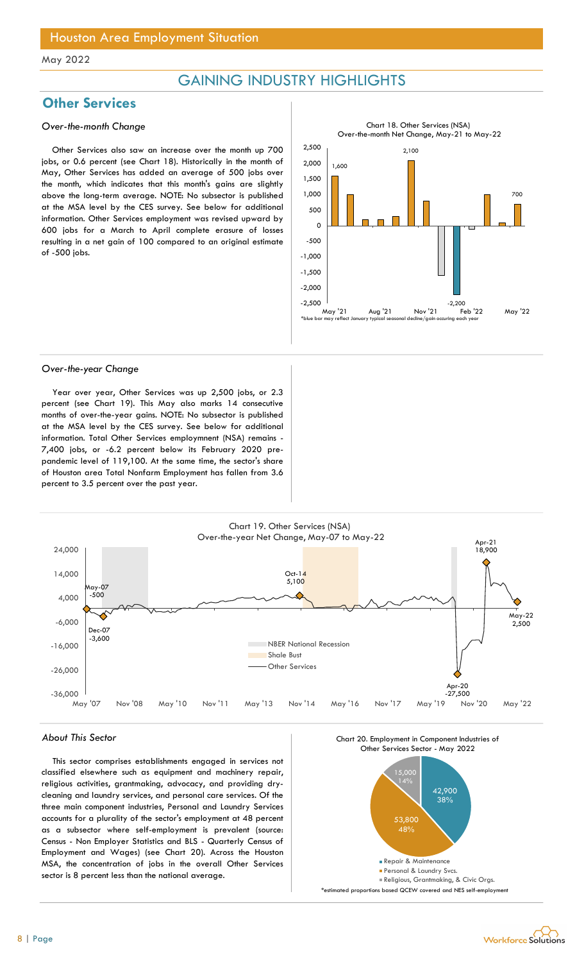## GAINING INDUSTRY HIGHLIGHTS

## **Other Services**

### Over-the-month Change

Other Services also saw an increase over the month up 700 jobs, or 0.6 percent (see Chart 18). Historically in the month of May, Other Services has added an average of 500 jobs over the month, which indicates that this month's gains are slightly above the long-term average. NOTE: No subsector is published at the MSA level by the CES survey. See below for additional information. Other Services employment was revised upward by 600 jobs for a March to April complete erasure of losses resulting in a net gain of 100 compared to an original estimate of -500 jobs.



#### Over-the-year Change

Year over year, Other Services was up 2,500 jobs, or 2.3 percent (see Chart 19). This May also marks 14 consecutive months of over-the-year gains. NOTE: No subsector is published at the MSA level by the CES survey. See below for additional information. Total Other Services employmnent (NSA) remains - 7,400 jobs, or -6.2 percent below its February 2020 prepandemic level of 119,100. At the same time, the sector's share of Houston area Total Nonfarm Employment has fallen from 3.6 percent to 3.5 percent over the past year.



#### About This Sector

This sector comprises establishments engaged in services not classified elsewhere such as equipment and machinery repair, religious activities, grantmaking, advocacy, and providing drycleaning and laundry services, and personal care services. Of the three main component industries, Personal and Laundry Services accounts for a plurality of the sector's employment at 48 percent as a subsector where self-employment is prevalent (source: Census - Non Employer Statistics and BLS - Quarterly Census of Employment and Wages) (see Chart 20). Across the Houston MSA, the concentration of jobs in the overall Other Services sector is 8 percent less than the national average.



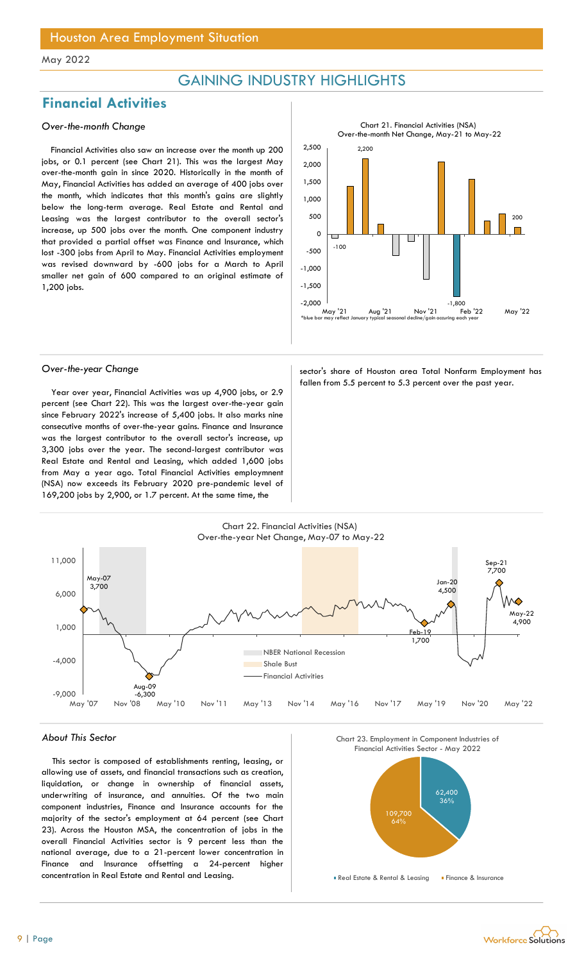## GAINING INDUSTRY HIGHLIGHTS

## Financial Activities

### Over-the-month Change

Financial Activities also saw an increase over the month up 200 jobs, or 0.1 percent (see Chart 21). This was the largest May over-the-month gain in since 2020. Historically in the month of May, Financial Activities has added an average of 400 jobs over the month, which indicates that this month's gains are slightly below the long-term average. Real Estate and Rental and Leasing was the largest contributor to the overall sector's increase, up 500 jobs over the month. One component industry that provided a partial offset was Finance and Insurance, which lost -300 jobs from April to May. Financial Activities employment was revised downward by -600 jobs for a March to April smaller net gain of 600 compared to an original estimate of 1,200 jobs.



Year over year, Financial Activities was up 4,900 jobs, or 2.9 percent (see Chart 22). This was the largest over-the-year gain since February 2022's increase of 5,400 jobs. It also marks nine consecutive months of over-the-year gains. Finance and Insurance was the largest contributor to the overall sector's increase, up 3,300 jobs over the year. The second-largest contributor was Real Estate and Rental and Leasing, which added 1,600 jobs from May a year ago. Total Financial Activities employmnent (NSA) now exceeds its February 2020 pre-pandemic level of 169,200 jobs by 2,900, or 1.7 percent. At the same time, the

Over-the-year Change sector's share of Houston area Total Nonfarm Employment has fallen from 5.5 percent to 5.3 percent over the past year.



#### About This Sector

This sector is composed of establishments renting, leasing, or allowing use of assets, and financial transactions such as creation, liquidation, or change in ownership of financial assets, underwriting of insurance, and annuities. Of the two main component industries, Finance and Insurance accounts for the majority of the sector's employment at 64 percent (see Chart 23). Across the Houston MSA, the concentration of jobs in the overall Financial Activities sector is 9 percent less than the national average, due to a 21-percent lower concentration in Finance and Insurance offsetting a 24-percent higher concentration in Real Estate and Rental and Leasing.

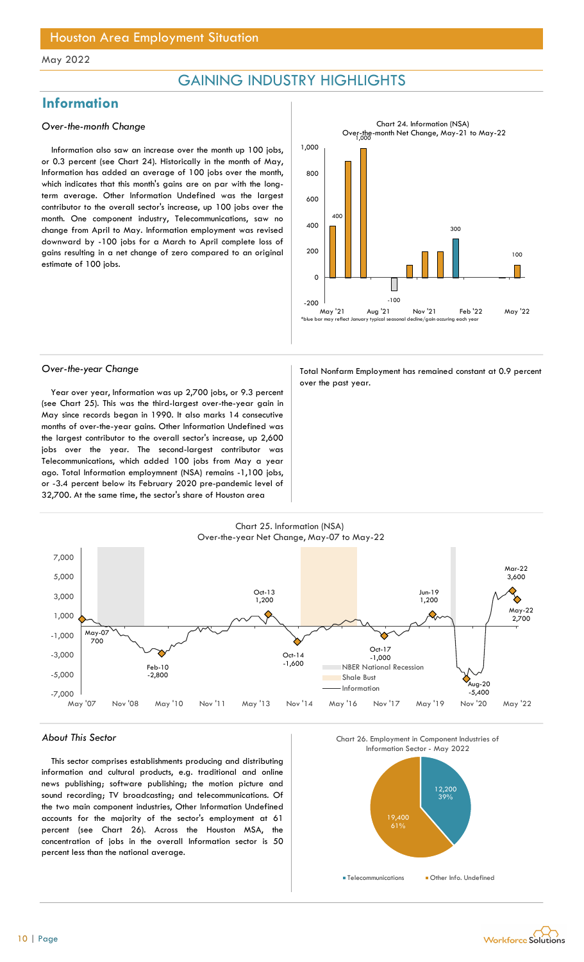## GAINING INDUSTRY HIGHLIGHTS

## **Information**

#### Over-the-month Change

Information also saw an increase over the month up 100 jobs, or 0.3 percent (see Chart 24). Historically in the month of May, Information has added an average of 100 jobs over the month, which indicates that this month's gains are on par with the longterm average. Other Information Undefined was the largest contributor to the overall sector's increase, up 100 jobs over the month. One component industry, Telecommunications, saw no change from April to May. Information employment was revised downward by -100 jobs for a March to April complete loss of gains resulting in a net change of zero compared to an original estimate of 100 jobs.



Year over year, Information was up 2,700 jobs, or 9.3 percent (see Chart 25). This was the third-largest over-the-year gain in May since records began in 1990. It also marks 14 consecutive months of over-the-year gains. Other Information Undefined was the largest contributor to the overall sector's increase, up 2,600 jobs over the year. The second-largest contributor was Telecommunications, which added 100 jobs from May a year ago. Total Information employmnent (NSA) remains -1,100 jobs, or -3.4 percent below its February 2020 pre-pandemic level of 32,700. At the same time, the sector's share of Houston area

Over-the-year Change Total Nonfarm Employment has remained constant at 0.9 percent over the past year.



#### About This Sector

This sector comprises establishments producing and distributing information and cultural products, e.g. traditional and online news publishing; software publishing; the motion picture and sound recording; TV broadcasting; and telecommunications. Of the two main component industries, Other Information Undefined accounts for the majority of the sector's employment at 61 percent (see Chart 26). Across the Houston MSA, the concentration of jobs in the overall Information sector is 50 percent less than the national average.



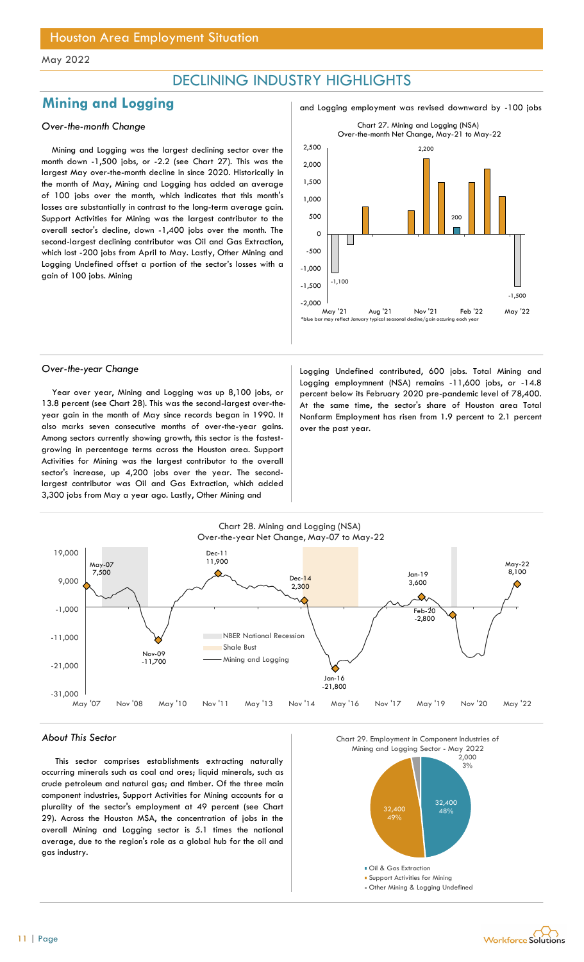## DECLINING INDUSTRY HIGHLIGHTS

## **Mining and Logging** and and  $\frac{100}{3}$  and Logging employment was revised downward by -100 jobs

Mining and Logging was the largest declining sector over the month down -1,500 jobs, or -2.2 (see Chart 27). This was the largest May over-the-month decline in since 2020. Historically in the month of May, Mining and Logging has added an average of 100 jobs over the month, which indicates that this month's losses are substantially in contrast to the long-term average gain. Support Activities for Mining was the largest contributor to the overall sector's decline, down -1,400 jobs over the month. The second-largest declining contributor was Oil and Gas Extraction, which lost -200 jobs from April to May. Lastly, Other Mining and Logging Undefined offset a portion of the sector's losses with a gain of 100 jobs. Mining



Year over year, Mining and Logging was up 8,100 jobs, or 13.8 percent (see Chart 28). This was the second-largest over-theyear gain in the month of May since records began in 1990. It also marks seven consecutive months of over-the-year gains. Among sectors currently showing growth, this sector is the fastestgrowing in percentage terms across the Houston area. Support Activities for Mining was the largest contributor to the overall sector's increase, up 4,200 jobs over the year. The secondlargest contributor was Oil and Gas Extraction, which added 3,300 jobs from May a year ago. Lastly, Other Mining and

Over-the-year Change **Logging Undefined contributed, 600 jobs.** Total Mining and Logging employmnent (NSA) remains -11,600 jobs, or -14.8 percent below its February 2020 pre-pandemic level of 78,400. At the same time, the sector's share of Houston area Total Nonfarm Employment has risen from 1.9 percent to 2.1 percent over the past year.



#### About This Sector

This sector comprises establishments extracting naturally occurring minerals such as coal and ores; liquid minerals, such as crude petroleum and natural gas; and timber. Of the three main component industries, Support Activities for Mining accounts for a plurality of the sector's employment at 49 percent (see Chart 29). Across the Houston MSA, the concentration of jobs in the overall Mining and Logging sector is 5.1 times the national average, due to the region's role as a global hub for the oil and gas industry.





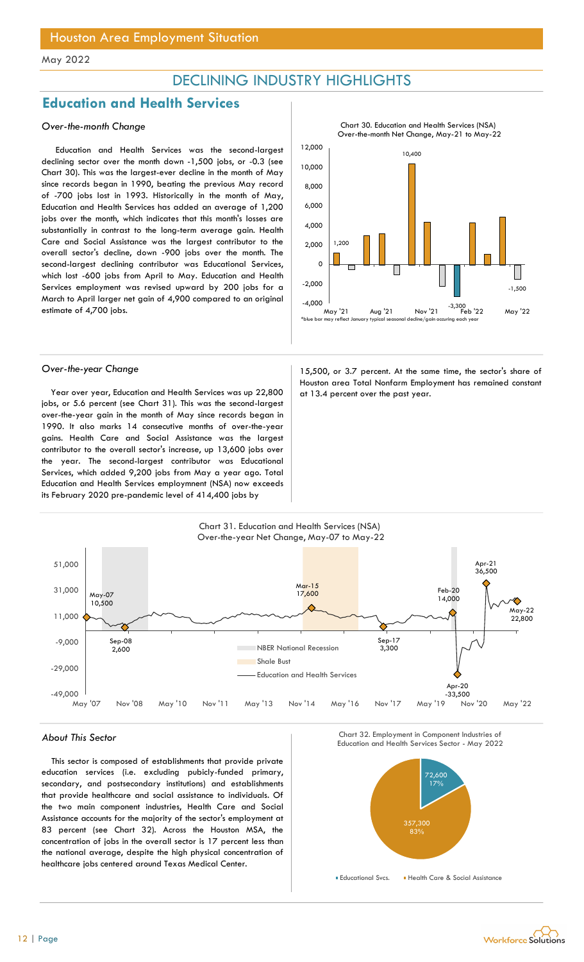## DECLINING INDUSTRY HIGHLIGHTS

## Education and Health Services

### Over-the-month Change

Education and Health Services was the second-largest declining sector over the month down -1,500 jobs, or -0.3 (see Chart 30). This was the largest-ever decline in the month of May since records began in 1990, beating the previous May record of -700 jobs lost in 1993. Historically in the month of May, Education and Health Services has added an average of 1,200 jobs over the month, which indicates that this month's losses are substantially in contrast to the long-term average gain. Health Care and Social Assistance was the largest contributor to the overall sector's decline, down -900 jobs over the month. The second-largest declining contributor was Educational Services, which lost -600 jobs from April to May. Education and Health Services employment was revised upward by 200 jobs for a March to April larger net gain of 4,900 compared to an original estimate of 4,700 jobs.



Chart 30. Education and Health Services (NSA)

Year over year, Education and Health Services was up  $22,800$  at 13.4 percent over the past year. jobs, or 5.6 percent (see Chart 31). This was the second-largest over-the-year gain in the month of May since records began in 1990. It also marks 14 consecutive months of over-the-year gains. Health Care and Social Assistance was the largest contributor to the overall sector's increase, up 13,600 jobs over the year. The second-largest contributor was Educational Services, which added 9,200 jobs from May a year ago. Total Education and Health Services employmnent (NSA) now exceeds its February 2020 pre-pandemic level of 414,400 jobs by

## Over-the-year Change and a state of the 15,500, or 3.7 percent. At the same time, the sector's share of Houston area Total Nonfarm Employment has remained constant



This sector is composed of establishments that provide private education services (i.e. excluding pubicly-funded primary, secondary, and postsecondary institutions) and establishments that provide healthcare and social assistance to individuals. Of the two main component industries, Health Care and Social Assistance accounts for the majority of the sector's employment at 83 percent (see Chart 32). Across the Houston MSA, the concentration of jobs in the overall sector is 17 percent less than the national average, despite the high physical concentration of healthcare jobs centered around Texas Medical Center.



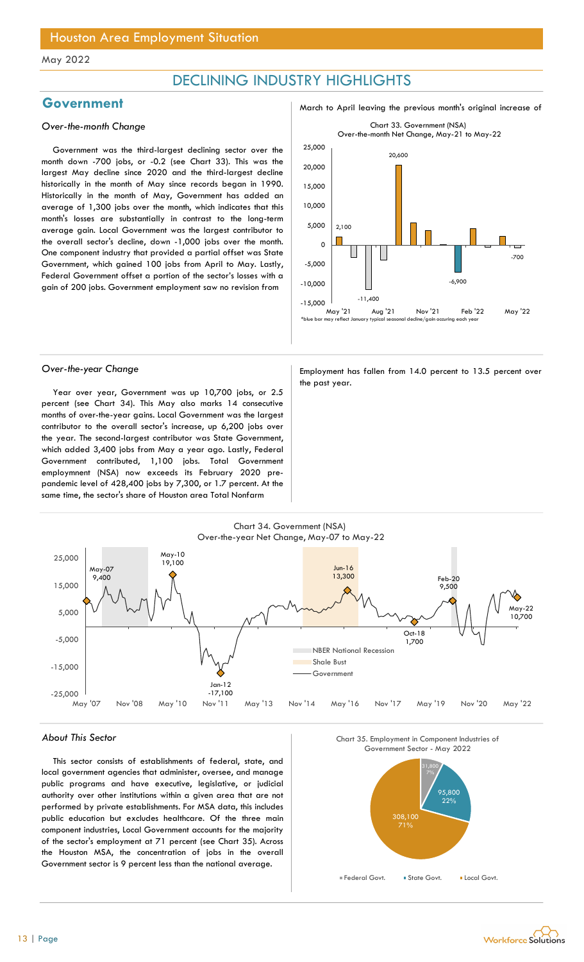## DECLINING INDUSTRY HIGHLIGHTS

#### Over-the-month Change

Government was the third-largest declining sector over the month down -700 jobs, or -0.2 (see Chart 33). This was the largest May decline since 2020 and the third-largest decline historically in the month of May since records began in 1990. Historically in the month of May, Government has added an average of 1,300 jobs over the month, which indicates that this month's losses are substantially in contrast to the long-term average gain. Local Government was the largest contributor to the overall sector's decline, down -1,000 jobs over the month. One component industry that provided a partial offset was State Government, which gained 100 jobs from April to May. Lastly, Federal Government offset a portion of the sector's losses with a gain of 200 jobs. Government employment saw no revision from

Government March to April leaving the previous month's original increase of



Year over year, Government was up 10,700 jobs, or 2.5 percent (see Chart 34). This May also marks 14 consecutive months of over-the-year gains. Local Government was the largest contributor to the overall sector's increase, up 6,200 jobs over the year. The second-largest contributor was State Government, which added 3,400 jobs from May a year ago. Lastly, Federal Government contributed, 1,100 jobs. Total Government employmnent (NSA) now exceeds its February 2020 prepandemic level of 428,400 jobs by 7,300, or 1.7 percent. At the same time, the sector's share of Houston area Total Nonfarm

Over-the-year Change Employment has fallen from 14.0 percent to 13.5 percent over the past year.



#### About This Sector

This sector consists of establishments of federal, state, and local government agencies that administer, oversee, and manage public programs and have executive, legislative, or judicial authority over other institutions within a given area that are not performed by private establishments. For MSA data, this includes public education but excludes healthcare. Of the three main component industries, Local Government accounts for the majority of the sector's employment at 71 percent (see Chart 35). Across the Houston MSA, the concentration of jobs in the overall Government sector is 9 percent less than the national average.



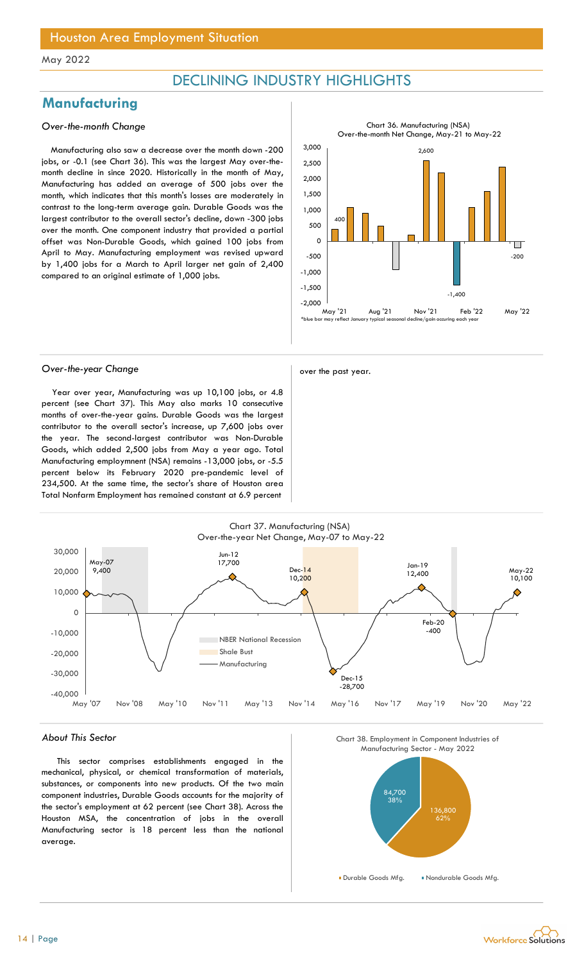## DECLINING INDUSTRY HIGHLIGHTS

## **Manufacturing**

#### Over-the-month Change

Manufacturing also saw a decrease over the month down -200 jobs, or -0.1 (see Chart 36). This was the largest May over-themonth decline in since 2020. Historically in the month of May, Manufacturing has added an average of 500 jobs over the month, which indicates that this month's losses are moderately in contrast to the long-term average gain. Durable Goods was the largest contributor to the overall sector's decline, down -300 jobs over the month. One component industry that provided a partial offset was Non-Durable Goods, which gained 100 jobs from April to May. Manufacturing employment was revised upward by 1,400 jobs for a March to April larger net gain of 2,400 compared to an original estimate of 1,000 jobs.



## Over-the-year Change and a set of the past year.

Year over year, Manufacturing was up 10,100 jobs, or 4.8 percent (see Chart 37). This May also marks 10 consecutive months of over-the-year gains. Durable Goods was the largest contributor to the overall sector's increase, up 7,600 jobs over the year. The second-largest contributor was Non-Durable Goods, which added 2,500 jobs from May a year ago. Total Manufacturing employmnent (NSA) remains -13,000 jobs, or -5.5 percent below its February 2020 pre-pandemic level of 234,500. At the same time, the sector's share of Houston area Total Nonfarm Employment has remained constant at 6.9 percent



#### About This Sector

This sector comprises establishments engaged in the mechanical, physical, or chemical transformation of materials, substances, or components into new products. Of the two main component industries, Durable Goods accounts for the majority of the sector's employment at 62 percent (see Chart 38). Across the Houston MSA, the concentration of jobs in the overall Manufacturing sector is 18 percent less than the national average.

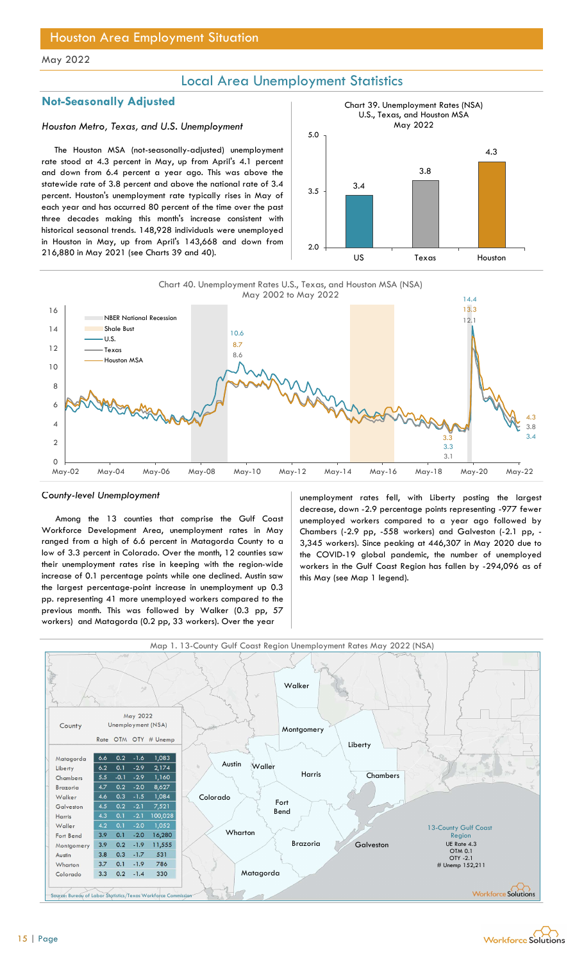## Local Area Unemployment Statistics

### Not-Seasonally Adjusted

### Houston Metro, Texas, and U.S. Unemployment

The Houston MSA (not-seasonally-adjusted) unemployment rate stood at 4.3 percent in May, up from April's 4.1 percent and down from 6.4 percent a year ago. This was above the statewide rate of 3.8 percent and above the national rate of 3.4 percent. Houston's unemployment rate typically rises in May of each year and has occurred 80 percent of the time over the past three decades making this month's increase consistent with historical seasonal trends. 148,928 individuals were unemployed in Houston in May, up from April's 143,668 and down from 216,880 in May 2021 (see Charts 39 and 40).







Among the 13 counties that comprise the Gulf Coast Workforce Development Area, unemployment rates in May ranged from a high of 6.6 percent in Matagorda County to a low of 3.3 percent in Colorado. Over the month, 12 counties saw their unemployment rates rise in keeping with the region-wide increase of 0.1 percentage points while one declined. Austin saw the largest percentage-point increase in unemployment up 0.3 pp. representing 41 more unemployed workers compared to the previous month. This was followed by Walker (0.3 pp, 57 workers) and Matagorda (0.2 pp, 33 workers). Over the year

County-level Unemployment unemployment rates fell, with Liberty posting the largest decrease, down -2.9 percentage points representing -977 fewer unemployed workers compared to a year ago followed by Chambers (-2.9 pp, -558 workers) and Galveston (-2.1 pp, - 3,345 workers). Since peaking at 446,307 in May 2020 due to the COVID-19 global pandemic, the number of unemployed workers in the Gulf Coast Region has fallen by -294,096 as of this May (see Map 1 legend).





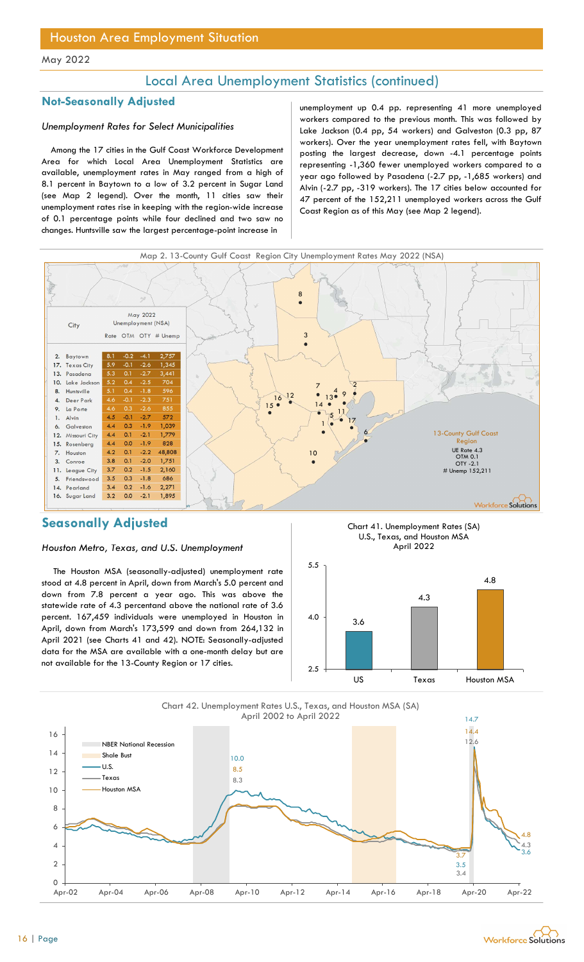## Local Area Unemployment Statistics (continued)

### Unemployment Rates for Select Municipalities

Among the 17 cities in the Gulf Coast Workforce Development Area for which Local Area Unemployment Statistics are available, unemployment rates in May ranged from a high of 8.1 percent in Baytown to a low of 3.2 percent in Sugar Land (see Map 2 legend). Over the month, 11 cities saw their unemployment rates rise in keeping with the region-wide increase of 0.1 percentage points while four declined and two saw no changes. Huntsville saw the largest percentage-point increase in

Not-Seasonally Adjusted and the unemployment up 0.4 pp. representing 41 more unemployed workers compared to the previous month. This was followed by Lake Jackson (0.4 pp, 54 workers) and Galveston (0.3 pp, 87 workers). Over the year unemployment rates fell, with Baytown posting the largest decrease, down -4.1 percentage points representing -1,360 fewer unemployed workers compared to a year ago followed by Pasadena (-2.7 pp, -1,685 workers) and Alvin (-2.7 pp, -319 workers). The 17 cities below accounted for 47 percent of the 152,211 unemployed workers across the Gulf Coast Region as of this May (see Map 2 legend).



## Seasonally Adjusted

#### Houston Metro, Texas, and U.S. Unemployment

The Houston MSA (seasonally-adjusted) unemployment rate stood at 4.8 percent in April, down from March's 5.0 percent and down from 7.8 percent a year ago. This was above the statewide rate of 4.3 percentand above the national rate of 3.6 percent. 167,459 individuals were unemployed in Houston in April, down from March's 173,599 and down from 264,132 in April 2021 (see Charts 41 and 42). NOTE: Seasonally-adjusted data for the MSA are available with a one-month delay but are not available for the 13-County Region or 17 cities.





Chart 42. Unemployment Rates U.S., Texas, and Houston MSA (SA) April 2002 to April 2022



14.7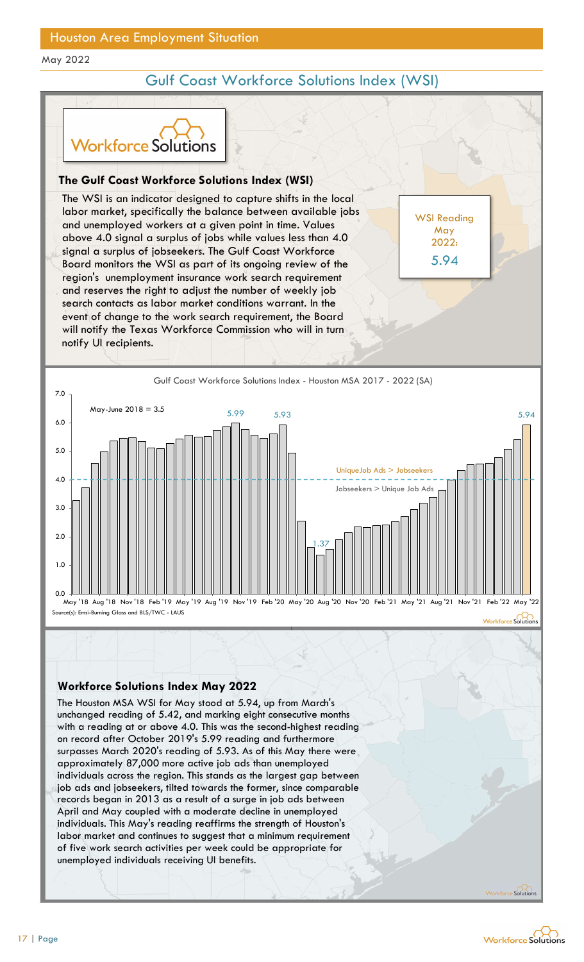## Gulf Coast Workforce Solutions Index (WSI)



## The Gulf Coast Workforce Solutions Index (WSI)

The WSI is an indicator designed to capture shifts in the local labor market, specifically the balance between available jobs and unemployed workers at a given point in time. Values above 4.0 signal a surplus of jobs while values less than 4.0 signal a surplus of jobseekers. The Gulf Coast Workforce Board monitors the WSI as part of its ongoing review of the region's unemployment insurance work search requirement and reserves the right to adjust the number of weekly job search contacts as labor market conditions warrant. In the event of change to the work search requirement, the Board will notify the Texas Workforce Commission who will in turn notify UI recipients. Solutions<br>
orkforce Solutions Index (WSI)<br>
orkforce Solutions Index (WSI)<br>
fically the balance between available jobs<br>
orkers at a given point in time. Values<br>
orkers at a given point in time. Values<br>
observes the Culf Coa UIF Coast Workforce Solutions Index (WSI)<br>
VSI is an indicator designed to capture shifts in the local<br>
market, specifically the balance between available jobs<br>
memployed workers at a given point in time. Values<br>
a 4.0 sig



WSI Reading May 2022: 5.94

### Workforce Solutions Index May 2022

The Houston MSA WSI for May stood at 5.94, up from March's with a reading at or above 4.0. This was the second-highest reading on record after October 2019's 5.99 reading and furthermore surpasses March 2020's reading of 5.93. As of this May there were approximately 87,000 more active job ads than unemployed individuals across the region. This stands as the largest gap between job ads and jobseekers, tilted towards the former, since comparable records began in 2013 as a result of a surge in job ads between April and May coupled with a moderate decline in unemployed individuals. This May's reading reaffirms the strength of Houston's labor market and continues to suggest that a minimum requirement of five work search activities per week could be appropriate for unemployed individuals receiving UI benefits.



Solutio